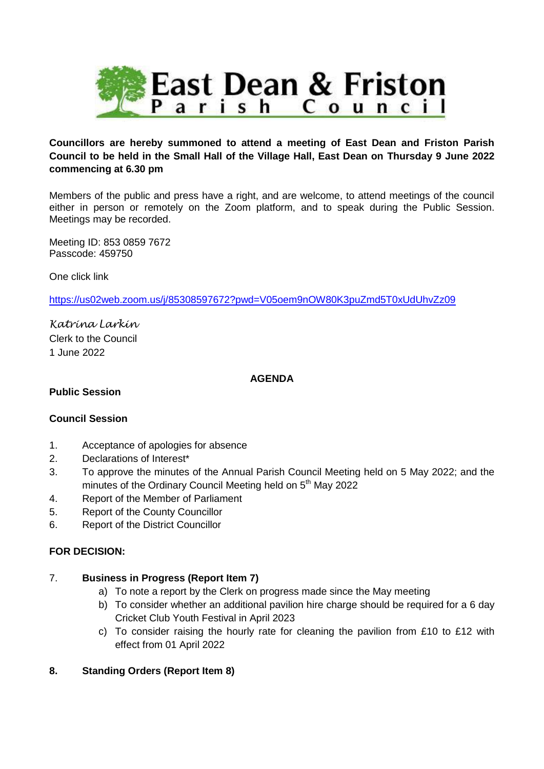

#### **Councillors are hereby summoned to attend a meeting of East Dean and Friston Parish Council to be held in the Small Hall of the Village Hall, East Dean on Thursday 9 June 2022 commencing at 6.30 pm**

Members of the public and press have a right, and are welcome, to attend meetings of the council either in person or remotely on the Zoom platform, and to speak during the Public Session. Meetings may be recorded.

Meeting ID: 853 0859 7672 Passcode: 459750

One click link

<https://us02web.zoom.us/j/85308597672?pwd=V05oem9nOW80K3puZmd5T0xUdUhvZz09>

*Katrina Larkin* Clerk to the Council 1 June 2022

#### **AGENDA**

#### **Public Session**

#### **Council Session**

- 1. Acceptance of apologies for absence
- 2. Declarations of Interest\*
- 3. To approve the minutes of the Annual Parish Council Meeting held on 5 May 2022; and the minutes of the Ordinary Council Meeting held on 5<sup>th</sup> May 2022
- 4. Report of the Member of Parliament
- 5. Report of the County Councillor
- 6. Report of the District Councillor

#### **FOR DECISION:**

#### 7. **Business in Progress (Report Item 7)**

- a) To note a report by the Clerk on progress made since the May meeting
- b) To consider whether an additional pavilion hire charge should be required for a 6 day Cricket Club Youth Festival in April 2023
- c) To consider raising the hourly rate for cleaning the pavilion from £10 to £12 with effect from 01 April 2022

#### **8. Standing Orders (Report Item 8)**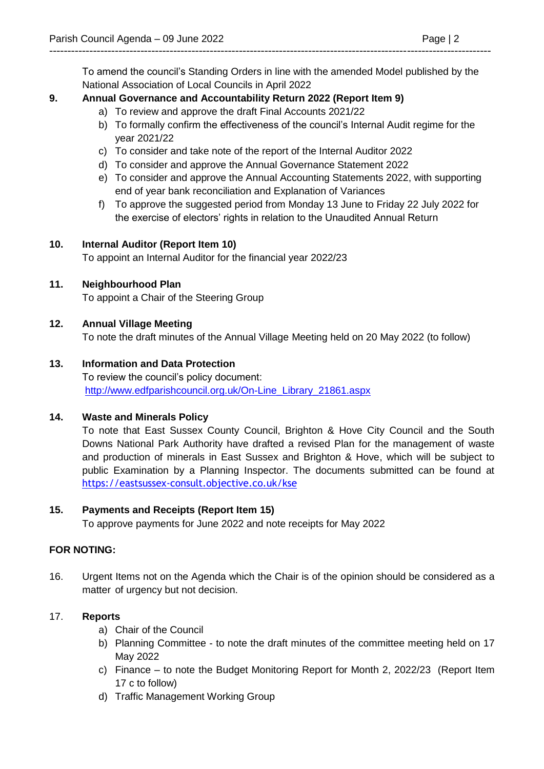To amend the council's Standing Orders in line with the amended Model published by the National Association of Local Councils in April 2022

-------------------------------------------------------------------------------------------------------------------------

# **9. Annual Governance and Accountability Return 2022 (Report Item 9)**

- a) To review and approve the draft Final Accounts 2021/22
- b) To formally confirm the effectiveness of the council's Internal Audit regime for the year 2021/22
- c) To consider and take note of the report of the Internal Auditor 2022
- d) To consider and approve the Annual Governance Statement 2022
- e) To consider and approve the Annual Accounting Statements 2022, with supporting end of year bank reconciliation and Explanation of Variances
- f) To approve the suggested period from Monday 13 June to Friday 22 July 2022 for the exercise of electors' rights in relation to the Unaudited Annual Return

# **10. Internal Auditor (Report Item 10)**

To appoint an Internal Auditor for the financial year 2022/23

# **11. Neighbourhood Plan**

To appoint a Chair of the Steering Group

# **12. Annual Village Meeting**

To note the draft minutes of the Annual Village Meeting held on 20 May 2022 (to follow)

# **13. Information and Data Protection**

To review the council's policy document: [http://www.edfparishcouncil.org.uk/On-Line\\_Library\\_21861.aspx](http://www.edfparishcouncil.org.uk/On-Line_Library_21861.aspx)

# **14. Waste and Minerals Policy**

To note that East Sussex County Council, Brighton & Hove City Council and the South Downs National Park Authority have drafted a revised Plan for the management of waste and production of minerals in East Sussex and Brighton & Hove, which will be subject to public Examination by a Planning Inspector. The documents submitted can be found at <https://eastsussex-consult.objective.co.uk/kse>

# **15. Payments and Receipts (Report Item 15)**

To approve payments for June 2022 and note receipts for May 2022

# **FOR NOTING:**

16. Urgent Items not on the Agenda which the Chair is of the opinion should be considered as a matter of urgency but not decision.

# 17. **Reports**

- a) Chair of the Council
- b) Planning Committee to note the draft minutes of the committee meeting held on 17 May 2022
- c) Finance to note the Budget Monitoring Report for Month 2, 2022/23 (Report Item 17 c to follow)
- d) Traffic Management Working Group